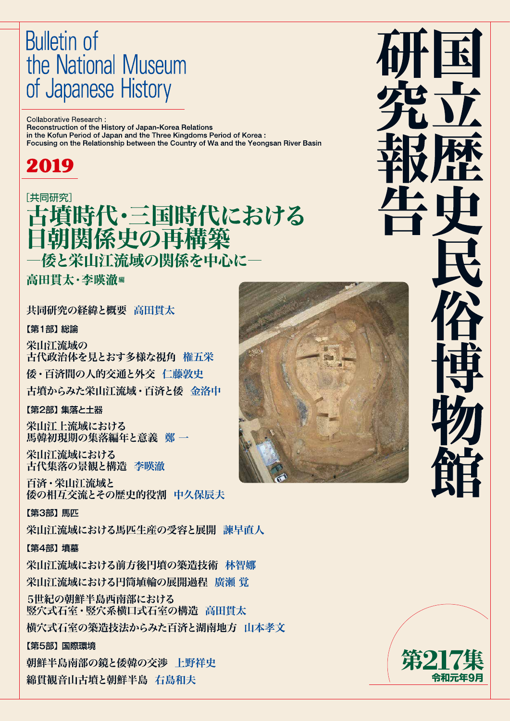# **Bulletin of** the National Museum of Japanese History

Collaborative Research: Reconstruction of the History of Japan-Korea Relations in the Kofun Period of Japan and the Three Kingdoms Period of Korea: Focusing on the Relationship between the Country of Wa and the Yeongsan River Basin

# 2019

# [共同研究] 古墳時代・三国時代における<br>日朝関係史の再構築 ·倭と栄山江流域の関係を中心に–

高田貫太・李暎澈編

共同研究の経緯と概要 高田貫太

# 【第1部】 総論

栄山江流域の 古代政治体を見とおす多様な視角 権五栄 倭・百済間の人的交通と外交 仁藤敦史 古墳からみた栄山江流域・百済と倭 金洛中

【第2部】 集落と土器

栄山江上流域における 馬韓初現期の集落編年と意義 鄭一

栄山江流域における 古代集落の景観と構造 李暎澈

百済・栄山江流域と 倭の相互交流とその歴史的役割 中久保辰夫

【第3部】 馬匹

栄山江流域における馬匹生産の受容と展開 諫早直人

# 【第4部】 墳墓

栄山江流域における前方後円墳の築造技術 林智娜 栄山江流域における円筒埴輪の展開過程 廣瀬 覚

5世紀の朝鮮半島西南部における 竪穴式石室・竪穴系横口式石室の構造 高田貫太 横穴式石室の築造技法からみた百済と湖南地方 山本孝文

# 【第5部】 国際環境

朝鮮半島南部の鏡と倭韓の交渉 上野祥史 綿貫観音山古墳と朝鮮半島 右島和夫





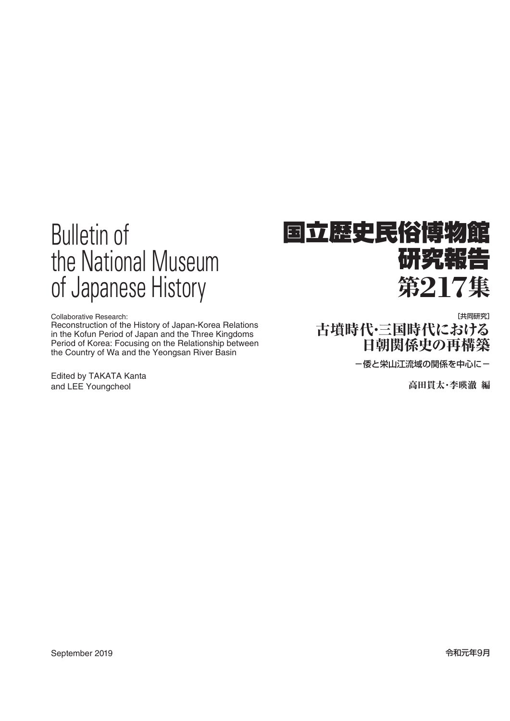# Bulletin of the National Museum of Japanese History

Collaborative Research:

Reconstruction of the History of Japan-Korea Relations in the Kofun Period of Japan and the Three Kingdoms Period of Korea: Focusing on the Relationship between the Country of Wa and the Yeongsan River Basin

Edited by TAKATA Kanta and LEE Youngcheol

# 国立歴史民俗博物館 研究報告 第**217**集

[共同研究] 古墳時代・三国時代における 日朝関係史の再構築

ー倭と栄山江流域の関係を中心にー

高田貫太・李暎澈 編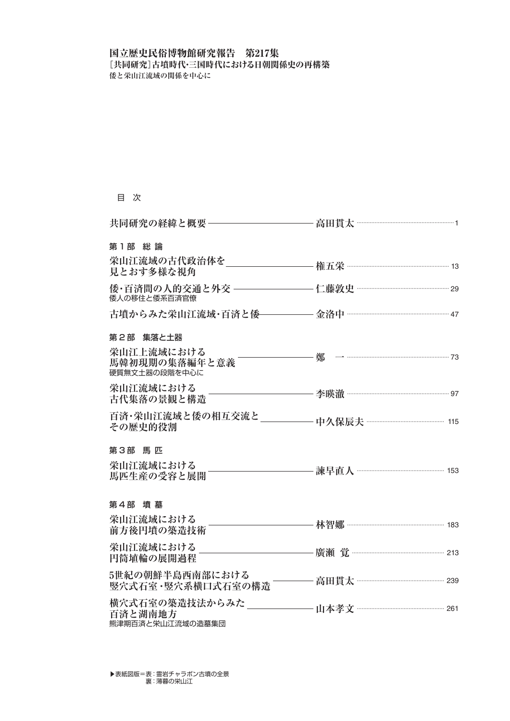## 国立歴史民俗博物館研究報告 第217集 [共同研究]古墳時代・三国時代における日朝関係史の再構築 **倭と栄山江流域の関係を中心に**

### 目 次

| 第1部 総論                                      |                           |  |
|---------------------------------------------|---------------------------|--|
| 見とおす多様な視角                                   |                           |  |
| 倭人の移住と倭系百済官僚                                |                           |  |
|                                             |                           |  |
| 第2部 集落と土器                                   |                           |  |
| 硬質無文土器の段階を中心に                               |                           |  |
| 栄山江流域における<br>古代集落の景観と構造                     |                           |  |
| その歴史的役割                                     |                           |  |
| 第3部 馬匹                                      |                           |  |
| 栄山江流域における<br>馬匹生産の受容と展開                     | 諫早直人 ………………………………………… 153 |  |
| 第4部 墳墓                                      |                           |  |
| 栄山江流域における<br>前方後円墳の築造技術                     |                           |  |
| 栄山江流域における<br>円筒埴輪の展開過程                      |                           |  |
| 5世紀の朝鮮半島西南部における<br>竪穴式石室 · 豎穴系横口式石室の構造 ―――― | 高田貫太 ……………………………………… 239  |  |
| 百済と湖南地方<br>熊津期百済と栄山江流域の造墓集団                 |                           |  |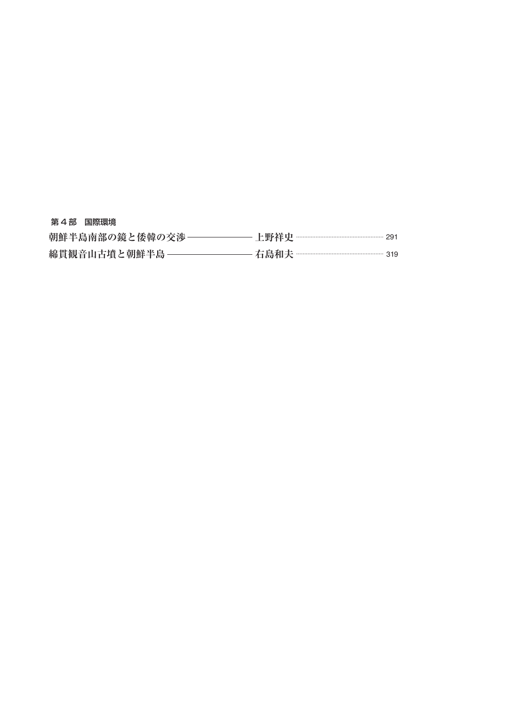| 第4部 国際環境        |                            |
|-----------------|----------------------------|
| 朝鮮半島南部の鏡と倭韓の交渉- |                            |
| 綿貫観音山古墳と朝鮮半島 –  | 一右島和夫 ………………………………………… 319 |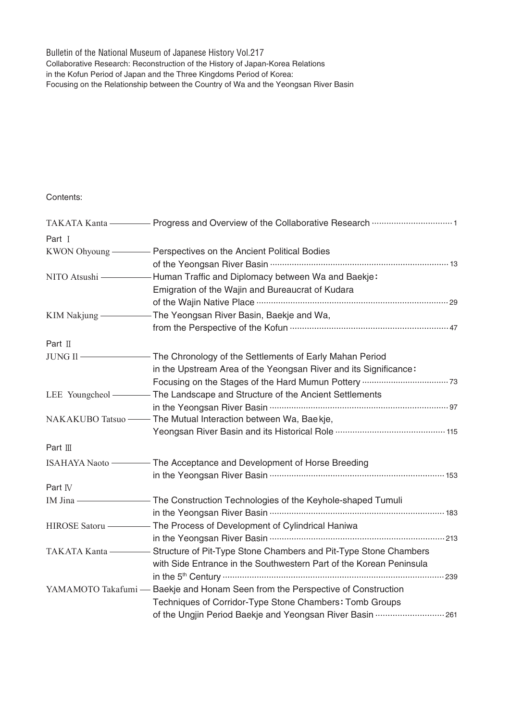Bulletin of the National Museum of Japanese History Vol.217 Collaborative Research: Reconstruction of the History of Japan-Korea Relations in the Kofun Period of Japan and the Three Kingdoms Period of Korea: Focusing on the Relationship between the Country of Wa and the Yeongsan River Basin

Contents:

| Part I           |                                                                                |
|------------------|--------------------------------------------------------------------------------|
|                  |                                                                                |
|                  |                                                                                |
| NITO Atsushi -   | Human Traffic and Diplomacy between Wa and Baekje:                             |
|                  | Emigration of the Wajin and Bureaucrat of Kudara                               |
|                  |                                                                                |
| KIM Nakjung —    | - The Yeongsan River Basin, Baekje and Wa,                                     |
|                  |                                                                                |
| Part $\mathbb I$ |                                                                                |
| JUNG II-         | - The Chronology of the Settlements of Early Mahan Period                      |
|                  | in the Upstream Area of the Yeongsan River and its Significance:               |
|                  |                                                                                |
| LEE Youngcheol — | - The Landscape and Structure of the Ancient Settlements                       |
|                  |                                                                                |
|                  | NAKAKUBO Tatsuo - The Mutual Interaction between Wa, Baekje,                   |
|                  | Yeongsan River Basin and its Historical Role ……………………………………… 115               |
| Part $\mathbb I$ |                                                                                |
| ISAHAYA Naoto -  | - The Acceptance and Development of Horse Breeding                             |
|                  |                                                                                |
| Part IV          |                                                                                |
| IM Jina-         | - The Construction Technologies of the Keyhole-shaped Tumuli                   |
|                  |                                                                                |
| HIROSE Satoru    | - The Process of Development of Cylindrical Haniwa                             |
|                  |                                                                                |
| TAKATA Kanta     | - Structure of Pit-Type Stone Chambers and Pit-Type Stone Chambers             |
|                  | with Side Entrance in the Southwestern Part of the Korean Peninsula            |
|                  |                                                                                |
|                  | YAMAMOTO Takafumi — Baekje and Honam Seen from the Perspective of Construction |
|                  | Techniques of Corridor-Type Stone Chambers: Tomb Groups                        |
|                  | of the Ungjin Period Baekje and Yeongsan River Basin  261                      |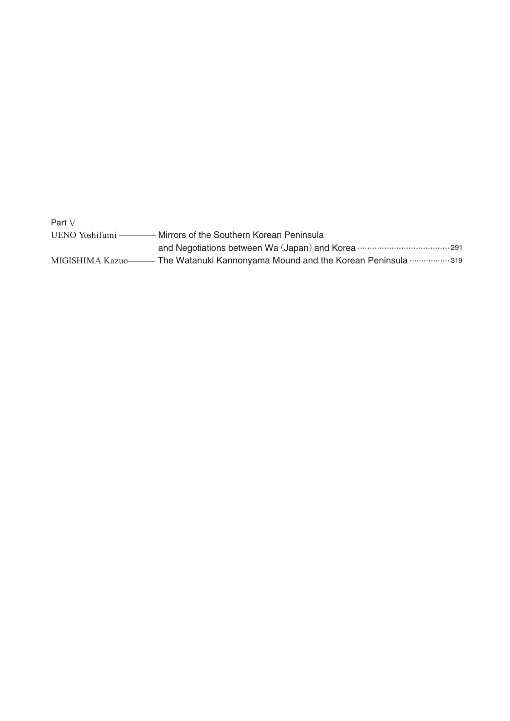Part V UENO Yoshifumi - Mirrors of the Southern Korean Peninsula and Negotiations between Wa (Japan) and Korea ……………………………… 291 - The Watanuki Kannonyama Mound and the Korean Peninsula ...............319 MIGISHIMA Kazuo-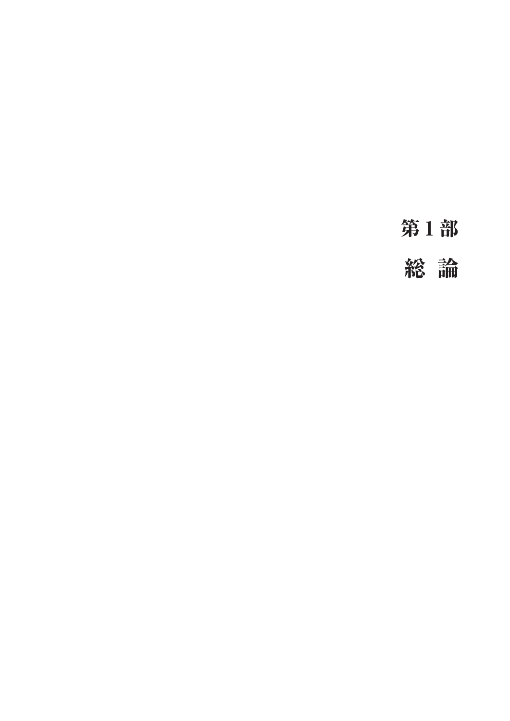第1部

総 論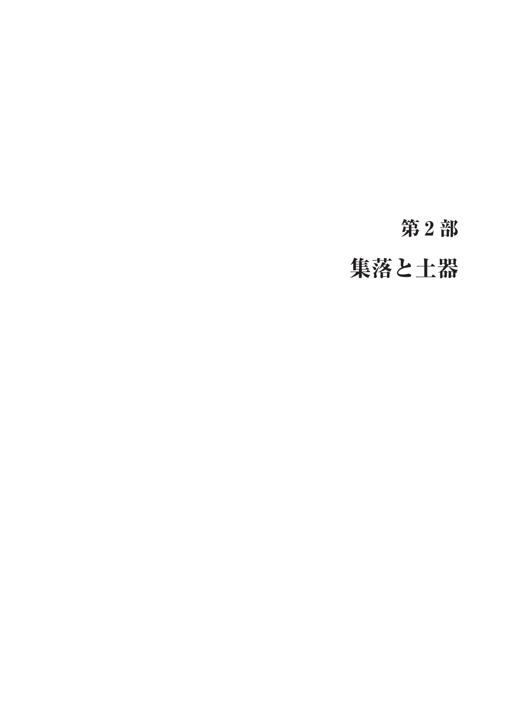# 第2部

集落と土器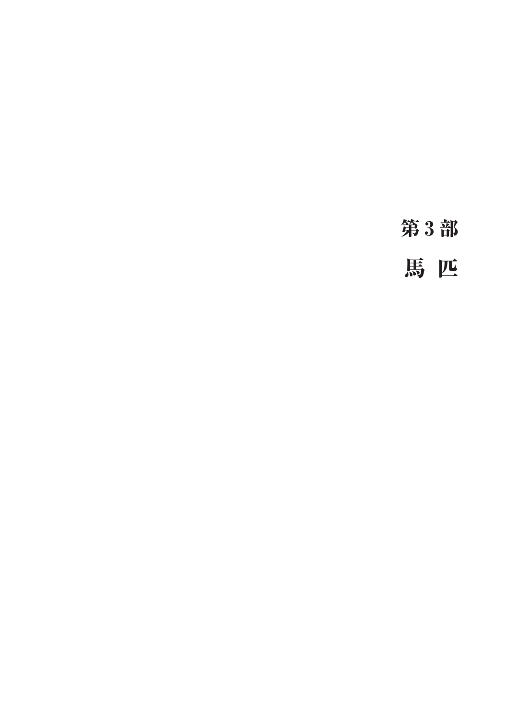第3部

馬 匹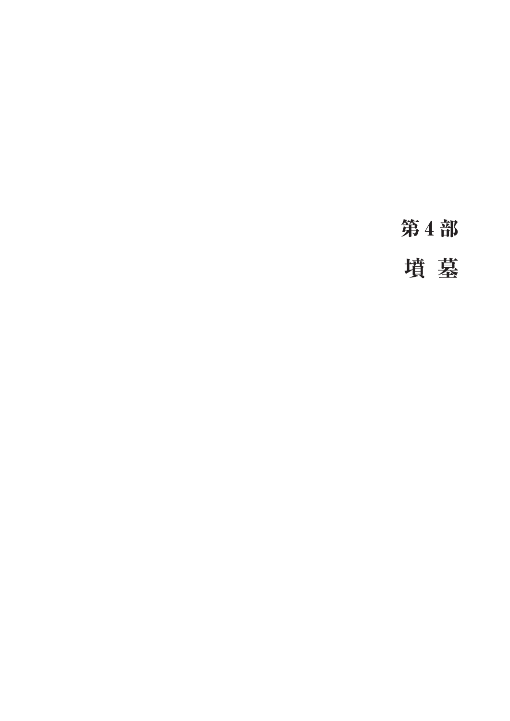第4部

墳 墓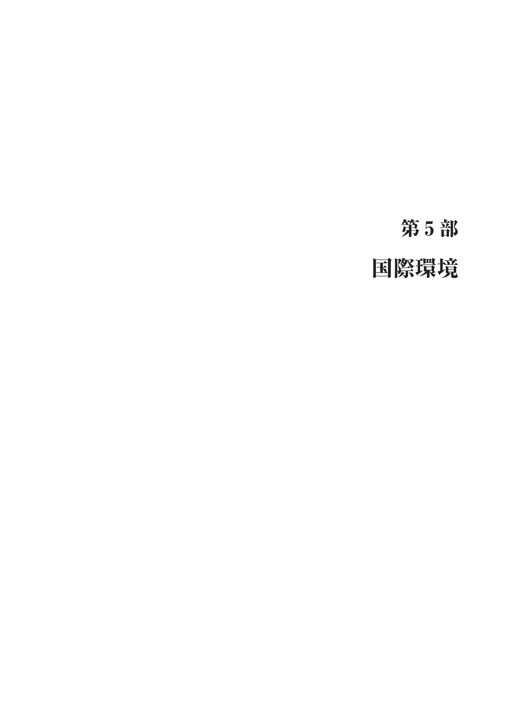# 第5部

# 国際環境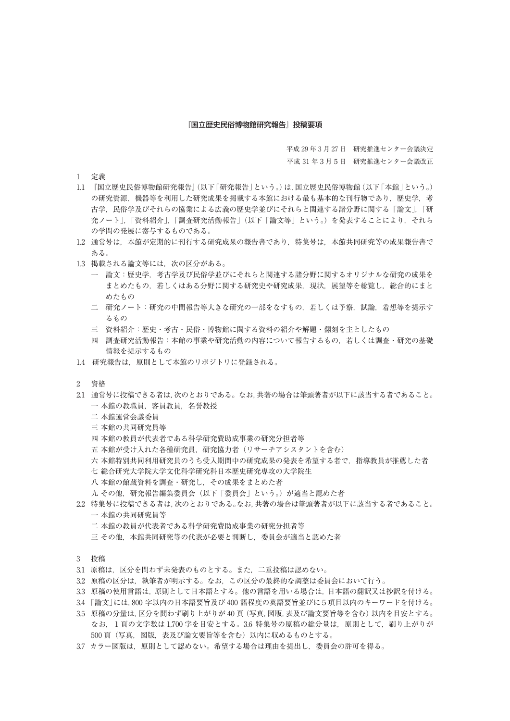#### 『国立歴史民俗博物館研究報告』投稿要項

平成 29 年 3 月 27 日 研究推進センター会議決定

平成 31 年3月5日 研究推進センター会議改正

- 1 定義
- 1.1 『国立歴史民俗博物館研究報告』(以下「研究報告」という。)は,国立歴史民俗博物館(以下「本館」という。) の研究資源、機器等を利用した研究成果を掲載する本館における最も基本的な刊行物であり、歴史学、考 古学,民俗学及びそれらの協業による広義の歴史学並びにそれらと関連する諸分野に関する「論文」,「研 究ノート」,「資料紹介」,「調査研究活動報告」(以下「論文等」という。)を発表することにより,それら の学問の発展に寄与するものである。
- 1.2 通常号は,本館が定期的に刊行する研究成果の報告書であり,特集号は,本館共同研究等の成果報告書で ある。
- 1.3 掲載される論文等には、次の区分がある。
	- 一 論文:歴史学,考古学及び民俗学並びにそれらと関連する諸分野に関するオリジナルな研究の成果を まとめたもの,若しくはある分野に関する研究史や研究成果,現状,展望等を総覧し,総合的にまと めたもの
	- 二 研究ノート:研究の中間報告等大きな研究の一部をなすもの,若しくは予察,試論,着想等を提示す るもの
	- 三 資料紹介:歴史・考古・民俗・博物館に関する資料の紹介や解題・翻刻を主としたもの
	- 四 調査研究活動報告:本館の事業や研究活動の内容について報告するもの,若しくは調査・研究の基礎 情報を提示するもの
- 1.4 研究報告は,原則として本館のリポジトリに登録される。
- 2 資格
- 2.1 通常号に投稿できる者は,次のとおりである。なお,共著の場合は筆頭著者が以下に該当する者であること。 一 本館の教職員, 客員教員, 名誉教授
	- 二 本館運営会議委員
	- 三 本館の共同研究員等
	- 四 本館の教員が代表者である科学研究費助成事業の研究分担者等
	- 五 本館が受け入れた各種研究員,研究協力者(リサーチアシスタントを含む)
	- 六 本館特別共同利用研究員のうち受入期間中の研究成果の発表を希望する者で、指導教員が推薦した者
	- 七 総合研究大学院大学文化科学研究科日本歴史研究専攻の大学院生
	- 八 本館の館蔵資料を調査・研究し,その成果をまとめた者
	- 九 その他,研究報告編集委員会(以下「委員会」という。)が適当と認めた者
- 2.2 特集号に投稿できる者は,次のとおりである。なお,共著の場合は筆頭著者が以下に該当する者であること。 一 本館の共同研究員等
	- 二 本館の教員が代表者である科学研究費助成事業の研究分担者等
	- 三 その他,本館共同研究等の代表が必要と判断し, 委員会が適当と認めた者
- 3 投稿
- 3.1 原稿は、区分を問わず未発表のものとする。また、二重投稿は認めない。
- 3.2   原稿の区分は,執筆者が明示する。なお,この区分の最終的な調整は委員会において行う。
- 3.3   原稿の使用言語は,原則として日本語とする。他の言語を用いる場合は,日本語の翻訳又は抄訳を付ける。
- 3.4 「論文」には,800 字以内の日本語要旨及び 400 語程度の英語要旨並びに5項目以内のキーワードを付ける。
- 3.5   原稿の分量は,区分を問わず刷り上がりが 40 頁(写真,図版,表及び論文要旨等を含む)以内を目安とする。 なお,1頁の文字数は 1,700 字を目安とする。3.6 特集号の原稿の総分量は,原則として,刷り上がりが 500 頁(写真,図版,表及び論文要旨等を含む)以内に収めるものとする。
- 3.7 カラー図版は,原則として認めない。希望する場合は理由を提出し,委員会の許可を得る。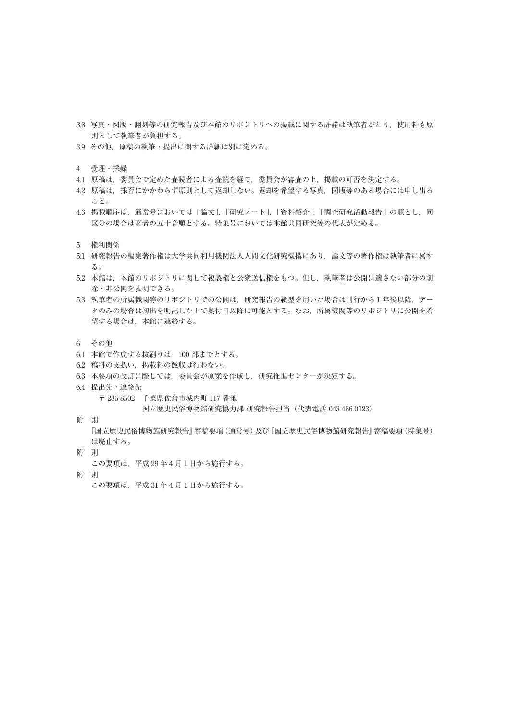- 3.8 写真・図版・翻刻等の研究報告及び本館のリポジトリへの掲載に関する許諾は執筆者がとり、使用料も原 則として執筆者が負担する。
- 3.9 その他,原稿の執筆・提出に関する詳細は別に定める。
- 4 受理・採録
- 4.1 原稿は、委員会で定めた査読者による査読を経て、委員会が審査の上、掲載の可否を決定する。
- 4.2 原稿は,採否にかかわらず原則として返却しない。返却を希望する写真,図版等のある場合には申し出る こと。
- 4.3 掲載順序は、通常号においては「論文」,「研究ノート」,「資料紹介」,「調査研究活動報告」の順とし,同 区分の場合は著者の五十音順とする。特集号においては本館共同研究等の代表が定める。
- 5 権利関係
- 5.1 研究報告の編集著作権は大学共同利用機関法人人間文化研究機構にあり,論文等の著作権は執筆者に属す  $2<sub>o</sub>$
- 5.2 本館は,本館のリポジトリに関して複製権と公衆送信権をもつ。但し,執筆者は公開に適さない部分の削 除・非公開を表明できる。
- 5.3 執筆者の所属機関等のリポジトリでの公開は,研究報告の紙型を用いた場合は刊行から1年後以降,デー タのみの場合は初出を明記した上で奥付日以降に可能とする。なお,所属機関等のリポジトリに公開を希 望する場合は,本館に連絡する。
- 6 その他
- 6.1 本館で作成する抜刷りは,100 部までとする。
- 6.2 稿料の支払い,掲載料の徴収は行わない。
- 6.3 本要項の改訂に際しては,委員会が原案を作成し,研究推進センターが決定する。
- 6.4 提出先・連絡先
	- 〒 285-8502 千葉県佐倉市城内町 117 番地

国立歴史民俗博物館研究協力課 研究報告担当(代表電話 043-486-0123)

附 則

 『国立歴史民俗博物館研究報告』寄稿要項(通常号)及び『国立歴史民俗博物館研究報告』寄稿要項(特集号) は廃止する。

- 附 則
	- この要項は,平成 29 年4月1日から施行する。
- 附 則

この要項は,平成 31 年4月1日から施行する。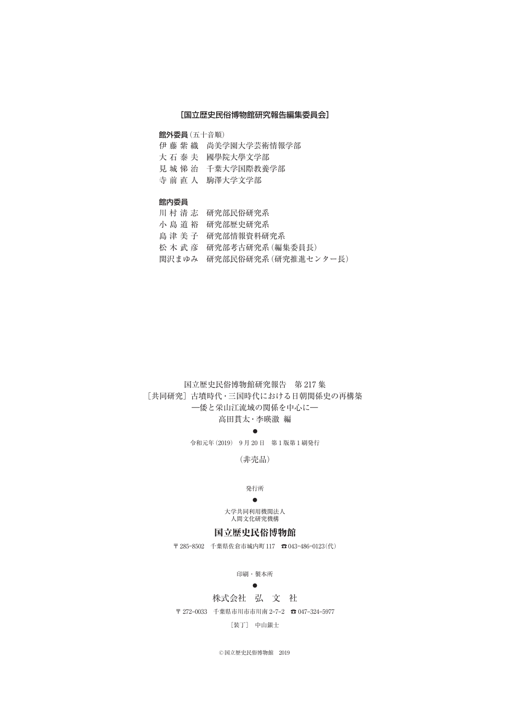### [国立歴史民俗博物館研究報告編集委員会]

館外委員(五十音順)

- 伊藤紫織 尚美学園大学芸術情報学部
- 大石泰夫 國學院大學文学部
- 見城悌治 千葉大学国際教養学部
- 寺前直人 駒澤大学文学部

#### 館内委員

- 川村清志 研究部民俗研究系
- 小島道裕 研究部歴史研究系
- 島津美子 研究部情報資料研究系
- 松木武彦 研究部考古研究系(編集委員長)
- 関沢まゆみ 研究部民俗研究系(研究推進センター長)

# 国立歴史民俗博物館研究報告 第 217 集 [共同研究] 古墳時代・三国時代における日朝関係史の再構築 ―倭と栄山江流域の関係を中心に―

### 高田貫太・李暎澈 編

●

令和元年(2019) 9 月 20 日 第 1 版第 1 刷発行

(非売品)

#### 発行所

#### ●

大学共同利用機関法人 人間文化研究機構

### 国立歴史民俗博物館

〒 285–8502 千葉県佐倉市城内町 117 ☎ 043–486–0123(代)

印刷・製本所

### $\bullet$

### 株式会社 弘 文 社

〒 272–0033 千葉県市川市市川南 2–7–2 ☎ 047–324–5977

[装丁] 中山銀士

©国立歴史民俗博物館 2019